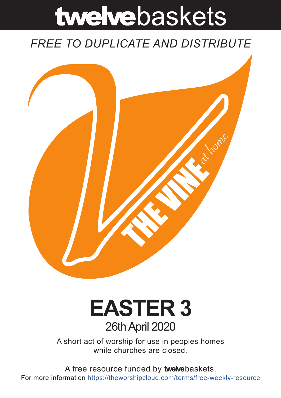# twelvebaskets

### *FREE TO DUPLICATE AND DISTRIBUTE*



## **EASTER 3** 26th April 2020

A short act of worship for use in peoples homes while churches are closed.

A free resource funded by **twelve**baskets. For more information https://theworshipcloud.com/terms/free-weekly-resource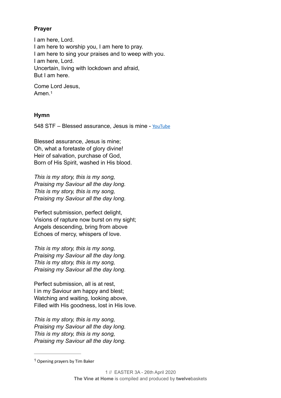#### **Prayer**

I am here, Lord. I am here to worship you, I am here to pray. I am here to sing your praises and to weep with you. I am here, Lord. Uncertain, living with lockdown and afraid, But I am here.

<span id="page-1-1"></span>Come Lord Jesus, Amen<sup>[1](#page-1-0)</sup>

#### **Hymn**

548 STF – Blessed assurance, Jesus is mine - [YouTube](https://www.youtube.com/watch?v=K5a0wBF4ok0)

Blessed assurance, Jesus is mine; Oh, what a foretaste of glory divine! Heir of salvation, purchase of God, Born of His Spirit, washed in His blood.

*This is my story, this is my song, Praising my Saviour all the day long. This is my story, this is my song, Praising my Saviour all the day long.* 

Perfect submission, perfect delight, Visions of rapture now burst on my sight; Angels descending, bring from above Echoes of mercy, whispers of love.

*This is my story, this is my song, Praising my Saviour all the day long. This is my story, this is my song, Praising my Saviour all the day long.* 

Perfect submission, all is at rest, I in my Saviour am happy and blest; Watching and waiting, looking above, Filled with His goodness, lost in His love.

*This is my story, this is my song, Praising my Saviour all the day long. This is my story, this is my song, Praising my Saviour all the day long.* 

<span id="page-1-0"></span> $1$  Opening prayers by Tim Baker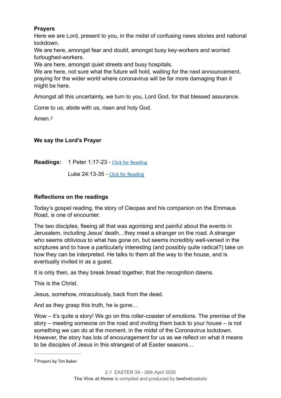#### **Prayers**

Here we are Lord, present to you, in the midst of confusing news stories and national lockdown.

We are here, amongst fear and doubt, amongst busy key-workers and worried furloughed-workers.

We are here, amongst quiet streets and busy hospitals.

We are here, not sure what the future will hold, waiting for the next announcement, praying for the wider world where coronavirus will be far more damaging than it might be here.

Amongst all this uncertainty, we turn to you, Lord God, for that blessed assurance.

Come to us; abide with us, risen and holy God.

<span id="page-2-1"></span>Amen.*[2](#page-2-0)*

#### **We say the Lord's Prayer**

**Readings:** 1 Peter 1:17-23 - [Click for Reading](https://www.biblegateway.com/passage/?search=1+Peter+1:17-23&version=NIV)

Luke 24:13-35 - [Click for Reading](https://www.biblegateway.com/passage/?search=Luke+24:13-35&version=NIV)

#### **Reflections on the readings**

Today's gospel reading, the story of Cleopas and his companion on the Emmaus Road, is one of encounter.

The two disciples, fleeing all that was agonising and painful about the events in Jerusalem, including Jesus' death…they meet a stranger on the road. A stranger who seems oblivious to what has gone on, but seems incredibly well-versed in the scriptures and to have a particularly interesting (and possibly quite radical?) take on how they can be interpreted. He talks to them all the way to the house, and is eventually invited in as a guest.

It is only then, as they break bread together, that the recognition dawns.

This is the Christ.

Jesus, somehow, miraculously, back from the dead.

And as they grasp this truth, he is gone…

Wow – it's quite a story! We go on this roller-coaster of emotions. The premise of the story – meeting someone on the road and inviting them back to your house – is not something we can do at the moment, in the midst of the Coronavirus lockdown. However, the story has lots of encouragement for us as we reflect on what it means to be disciples of Jesus in this strangest of all Easter seasons…

<span id="page-2-0"></span>Prayers by Tim Baker *[2](#page-2-1)*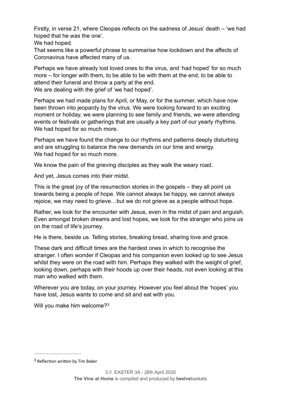Firstly, in verse 21, where Cleopas reflects on the sadness of Jesus' death – 'we had hoped that he was the one'.

We had hoped.

That seems like a powerful phrase to summarise how lockdown and the affects of Coronavirus have affected many of us.

Perhaps we have already lost loved ones to the virus, and 'had hoped' for so much more – for longer with them, to be able to be with them at the end, to be able to attend their funeral and throw a party at the end. We are dealing with the grief of 'we had hoped'.

Perhaps we had made plans for April, or May, or for the summer, which have now been thrown into jeopardy by the virus. We were looking forward to an exciting moment or holiday, we were planning to see family and friends, we were attending events or festivals or gatherings that are usually a key part of our yearly rhythms. We had hoped for so much more.

Perhaps we have found the change to our rhythms and patterns deeply disturbing and are struggling to balance the new demands on our time and energy. We had hoped for so much more.

We know the pain of the grieving disciples as they walk the weary road.

And yet, Jesus comes into their midst.

This is the great joy of the resurrection stories in the gospels – they all point us towards being a people of hope. We cannot always be happy, we cannot always rejoice, we may need to grieve…but we do not grieve as a people without hope.

Rather, we look for the encounter with Jesus, even in the midst of pain and anguish. Even amongst broken dreams and lost hopes, we look for the stranger who joins us on the road of life's journey.

He is there, beside us. Telling stories, breaking bread, sharing love and grace.

These dark and difficult times are the hardest ones in which to recognise the stranger. I often wonder if Cleopas and his companion even looked up to see Jesus whilst they were on the road with him. Perhaps they walked with the weight of grief, looking down, perhaps with their hoods up over their heads, not even looking at this man who walked with them.

Wherever you are today, on your journey. However you feel about the 'hopes' you have lost, Jesus wants to come and sit and eat with you.

<span id="page-3-1"></span>Will you make him welcome?<sup>[3](#page-3-0)</sup>

<span id="page-3-0"></span> $3$  Reflection written by Tim Baker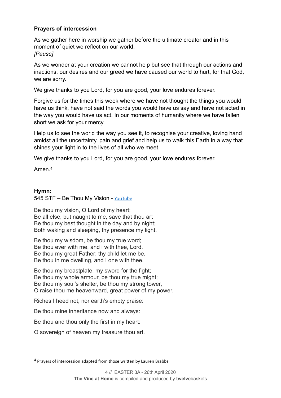#### **Prayers of intercession**

As we gather here in worship we gather before the ultimate creator and in this moment of quiet we reflect on our world. *[Pause]* 

As we wonder at your creation we cannot help but see that through our actions and inactions, our desires and our greed we have caused our world to hurt, for that God, we are sorry.

We give thanks to you Lord, for you are good, your love endures forever.

Forgive us for the times this week where we have not thought the things you would have us think, have not said the words you would have us say and have not acted in the way you would have us act. In our moments of humanity where we have fallen short we ask for your mercy.

Help us to see the world the way you see it, to recognise your creative, loving hand amidst all the uncertainty, pain and grief and help us to walk this Earth in a way that shines your light in to the lives of all who we meet.

We give thanks to you Lord, for you are good, your love endures forever.

<span id="page-4-1"></span>Amen.[4](#page-4-0)

#### **Hymn:**

545 STF - Be Thou My Vision - [YouTube](https://www.youtube.com/watch?v=34rc2WHKZ28&feature=youtu.be)

Be thou my vision, O Lord of my heart; Be all else, but naught to me, save that thou art Be thou my best thought in the day and by night; Both waking and sleeping, thy presence my light.

Be thou my wisdom, be thou my true word; Be thou ever with me, and i with thee, Lord. Be thou my great Father; thy child let me be, Be thou in me dwelling, and I one with thee.

Be thou my breastplate, my sword for the fight; Be thou my whole armour, be thou my true might; Be thou my soul's shelter, be thou my strong tower, O raise thou me heavenward, great power of my power.

Riches I heed not, nor earth's empty praise:

Be thou mine inheritance now and always:

Be thou and thou only the first in my heart:

O sovereign of heaven my treasure thou art.

<span id="page-4-0"></span><sup>&</sup>lt;sup>[4](#page-4-1)</sup> Prayers of intercession adapted from those written by Lauren Brabbs